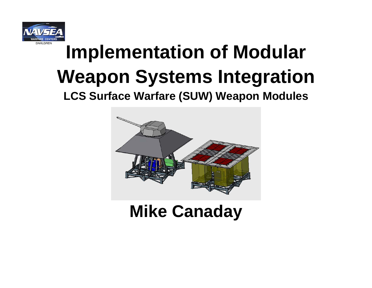

## **Implementation of Modular Weapon Systems Integration**

**LCS Surface Warfare (SUW) Weapon Modules**



#### **Mike Canaday**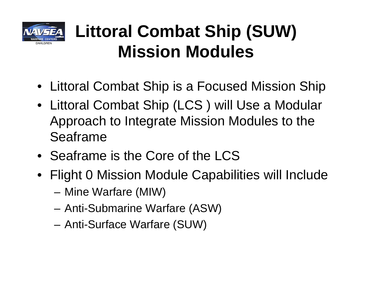

#### **Littoral Combat Ship (SUW) Mission Modules**

- Littoral Combat Ship is a Focused Mission Ship
- Littoral Combat Ship (LCS ) will Use a Modular Approach to Integrate Mission Modules to the Seaframe
- Seaframe is the Core of the LCS
- Flight 0 Mission Module Capabilities will Include
	- –Mine Warfare (MIW)
	- –Anti-Submarine Warfare (ASW)
	- –Anti-Surface Warfare (SUW)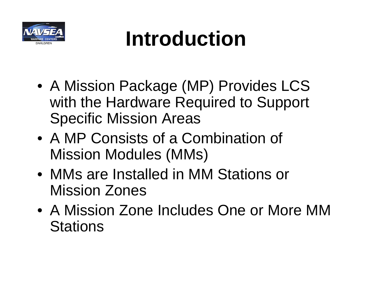

## **Introduction**

- A Mission Package (MP) Provides LCS with the Hardware Required to Support Specific Mission Areas
- A MP Consists of a Combination of Mission Modules (MMs)
- MMs are Installed in MM Stations or Mission Zones
- A Mission Zone Includes One or More MM **Stations**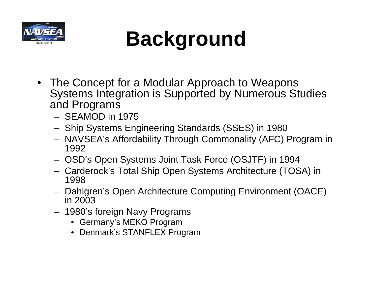

## **Background**

- The Concept for a Modular Approach to Weapons Systems Integration is Supported by Numerous Studies and Programs
	- SEAMOD in 1975
	- Ship Systems Engineering Standards (SSES) in 1980
	- NAVSEA's Affordability Through Commonality (AFC) Program in 1992
	- OSD's Open Systems Joint Task Force (OSJTF) in 1994
	- Carderock's Total Ship Open Systems Architecture (TOSA) in 1998
	- Dahlgren's Open Architecture Computing Environment (OACE) in 2003
	- 1980's foreign Navy Programs
		- Germany's MEKO Program
		- Denmark's STANFLEX Program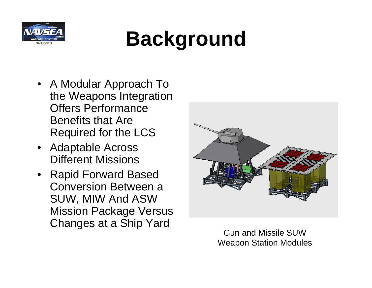

## **Background**

- A Modular Approach To the Weapons Integration Offers Performance Benefits that Are Required for the LCS
- Adaptable Across Different Missions
- Rapid Forward Based Conversion Between a SUW, MIW And ASW Mission Package Versus Changes at a Ship Yard<br>
Gun and Missile SUW



Weapon Station Modules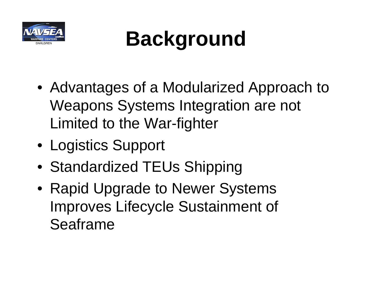

## **Background**

- Advantages of a Modularized Approach to Weapons Systems Integration are not Limited to the War-fighter
- Logistics Support
- Standardized TEUs Shipping
- Rapid Upgrade to Newer Systems Improves Lifecycle Sustainment of Seaframe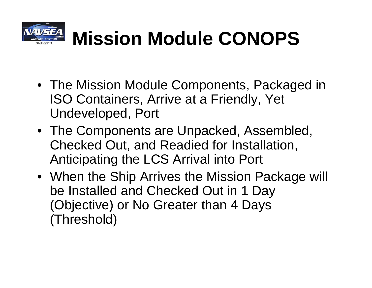

## **Mission Module CONOPS**

- The Mission Module Components, Packaged in ISO Containers, Arrive at a Friendly, Yet Undeveloped, Port
- The Components are Unpacked, Assembled, Checked Out, and Readied for Installation, Anticipating the LCS Arrival into Port
- When the Ship Arrives the Mission Package will be Installed and Checked Out in 1 Day (Objective) or No Greater than 4 Days (Threshold)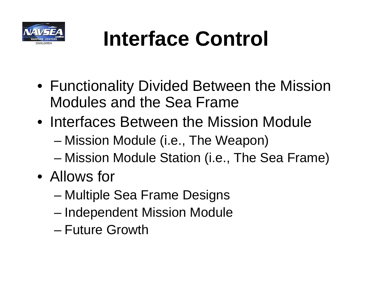

## **Interface Control**

- Functionality Divided Between the Mission Modules and the Sea Frame
- Interfaces Between the Mission Module
	- –Mission Module (i.e., The Weapon)
	- –Mission Module Station (i.e., The Sea Frame)
- Allows for
	- –Multiple Sea Frame Designs
	- –Independent Mission Module
	- Future Growth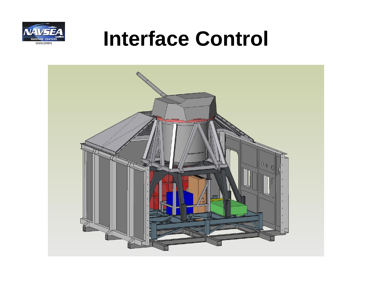

### **Interface Control**

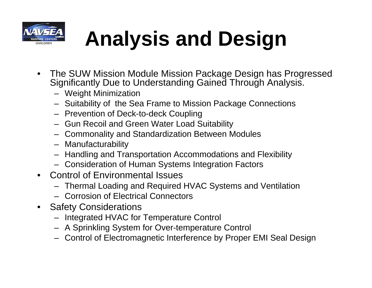

# **Analysis and Design**

- The SUW Mission Module Mission Package Design has Progressed Significantly Due to Understanding Gained Through Analysis.
	- Weight Minimization
	- Suitability of the Sea Frame to Mission Package Connections
	- Prevention of Deck-to-deck Coupling
	- Gun Recoil and Green Water Load Suitability
	- Commonality and Standardization Between Modules
	- Manufacturability
	- Handling and Transportation Accommodations and Flexibility
	- Consideration of Human Systems Integration Factors
- Control of Environmental Issues
	- Thermal Loading and Required HVAC Systems and Ventilation
	- Corrosion of Electrical Connectors
- Safety Considerations
	- Integrated HVAC for Temperature Control
	- A Sprinkling System for Over-temperature Control
	- Control of Electromagnetic Interference by Proper EMI Seal Design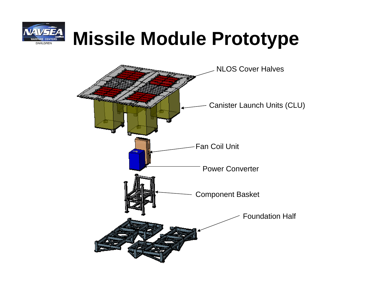

### **Missile Module Prototype**

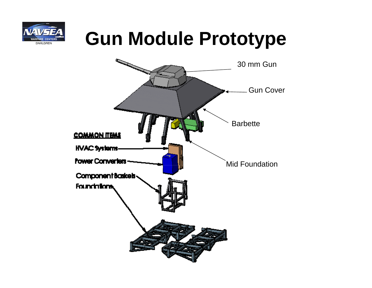

### **Gun Module Prototype**

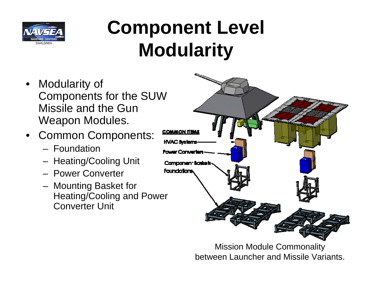

### **Component Level Modularity**

- $\bullet$  Modularity of Components for the SUW Missile and the Gun Weapon Modules.
- • Common Components:
	- Foundation
	- Heating/Cooling Unit
	- Power Converter
	- Mounting Basket for Heating/Cooling and Power Converter Unit



Mission Module Commonality between Launcher and Missile Variants.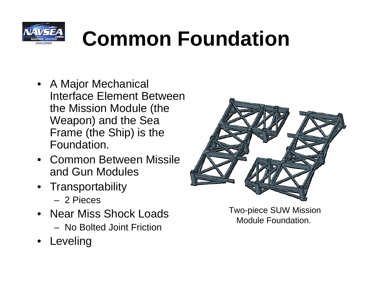

## **Common Foundation**

- A Major Mechanical Interface Element Between the Mission Module (the Weapon) and the Sea Frame (the Ship) is the Foundation.
- Common Between Missile and Gun Modules
- Transportability
	- 2 Pieces
- Near Miss Shock Loads
	- No Bolted Joint Friction
- •Leveling



Two-piece SUW Mission Module Foundation.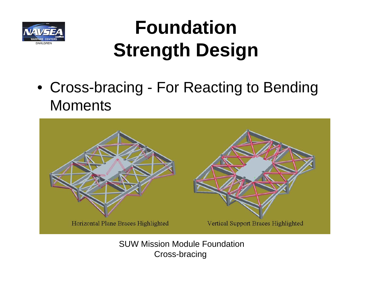

### **FoundationStrength Design**

• Cross-bracing - For Reacting to Bending **Moments** 



SUW Mission Module FoundationCross-bracing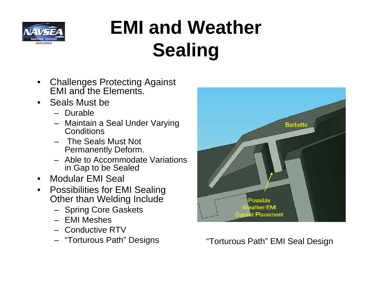

### **EMI and WeatherSealing**

- $\bullet$  Challenges Protecting Against EMI and the Elements.
- Seals Must be
	- Durable
	- Maintain a Seal Under Varying **Conditions**
	- The Seals Must Not Permanently Deform.
	- Able to Accommodate Variations in Gap to be Sealed
- $\bullet$ Modular EMI Seal
- $\bullet$  Possibilities for EMI Sealing Other than Welding Include
	- Spring Core Gaskets
	- EMI Meshes
	- Conductive RTV
	- "Torturous Path" Designs



"Torturous Path" EMI Seal Design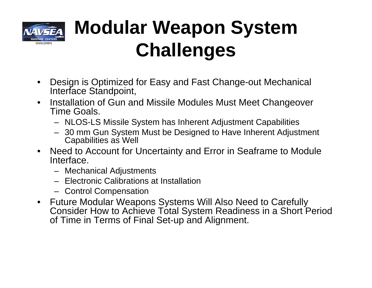

### **Modular Weapon System Challenges**

- $\bullet$  Design is Optimized for Easy and Fast Change-out Mechanical Interface Standpoint,
- $\bullet$  Installation of Gun and Missile Modules Must Meet Changeover Time Goals.
	- NLOS-LS Missile System has Inherent Adjustment Capabilities
	- 30 mm Gun System Must be Designed to Have Inherent Adjustment Capabilities as Well
- Need to Account for Uncertainty and Error in Seaframe to Module Interface.
	- Mechanical Adjustments
	- Electronic Calibrations at Installation
	- Control Compensation
- $\bullet$  Future Modular Weapons Systems Will Also Need to Carefully Consider How to Achieve Total System Readiness in a Short Period of Time in Terms of Final Set-up and Alignment.